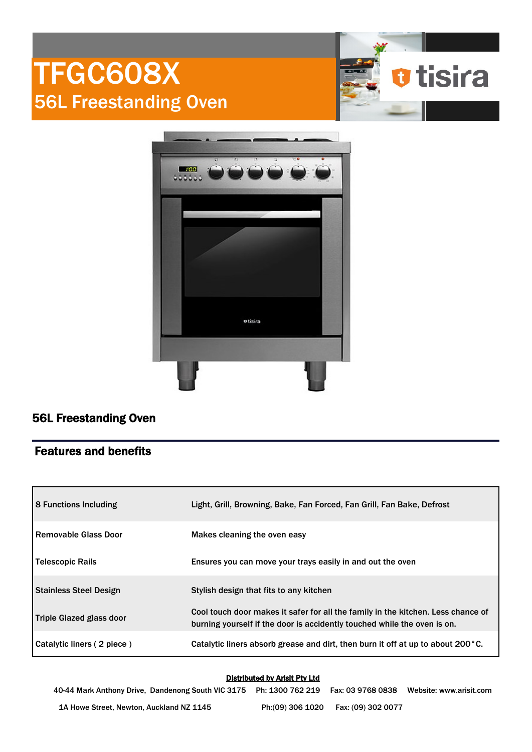



# 56L Freestanding Oven

## Features and benefits

| <b>8 Functions Including</b>  | Light, Grill, Browning, Bake, Fan Forced, Fan Grill, Fan Bake, Defrost                                                                                       |
|-------------------------------|--------------------------------------------------------------------------------------------------------------------------------------------------------------|
| l Removable Glass Door        | Makes cleaning the oven easy                                                                                                                                 |
| <b>Telescopic Rails</b>       | Ensures you can move your trays easily in and out the oven                                                                                                   |
| <b>Stainless Steel Design</b> | Stylish design that fits to any kitchen                                                                                                                      |
| Triple Glazed glass door      | Cool touch door makes it safer for all the family in the kitchen. Less chance of<br>burning yourself if the door is accidently touched while the oven is on. |
| Catalytic liners (2 piece)    | Catalytic liners absorb grease and dirt, then burn it off at up to about 200 $^{\circ}$ C.                                                                   |

### Distributed by Arisit Pty Ltd

40-44 Mark Anthony Drive, Dandenong South VIC 3175 Ph: 1300 762 219 Fax: 03 9768 0838 Website: www.arisit.com 1A Howe Street, Newton, Auckland NZ 1145 Ph:(09) 306 1020 Fax: (09) 302 0077